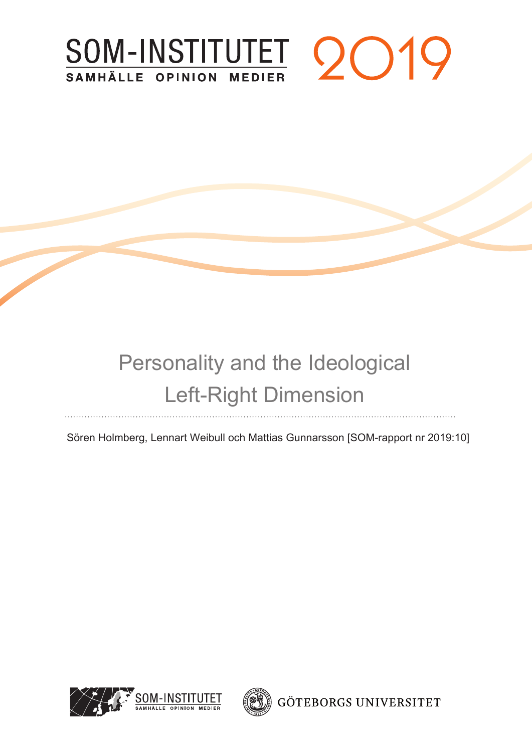# SOM-INSTITUTET 2019

# Personality and the Ideological Left-Right Dimension

Sören Holmberg, Lennart Weibull och Mattias Gunnarsson [SOM-rapport nr 2019:10]



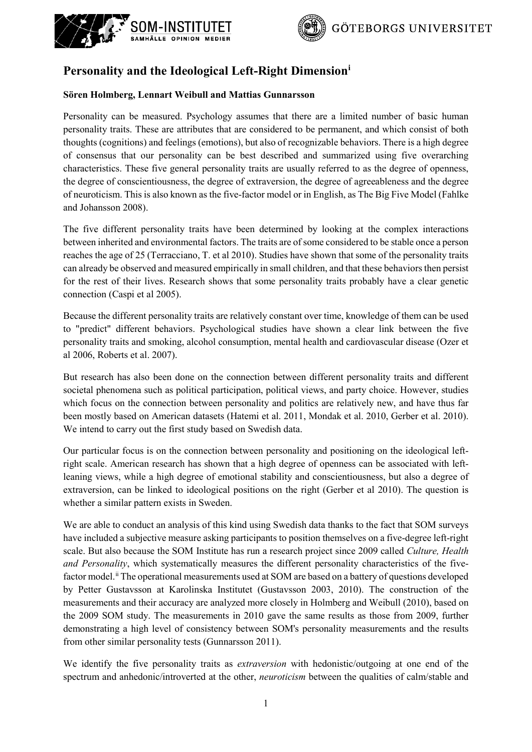



### **Personality and the Ideological Left-Right Dimension[i](#page-6-0)**

#### **Sören Holmberg, Lennart Weibull and Mattias Gunnarsson**

Personality can be measured. Psychology assumes that there are a limited number of basic human personality traits. These are attributes that are considered to be permanent, and which consist of both thoughts (cognitions) and feelings (emotions), but also of recognizable behaviors. There is a high degree of consensus that our personality can be best described and summarized using five overarching characteristics. These five general personality traits are usually referred to as the degree of openness, the degree of conscientiousness, the degree of extraversion, the degree of agreeableness and the degree of neuroticism. This is also known as the five-factor model or in English, as The Big Five Model (Fahlke and Johansson 2008).

The five different personality traits have been determined by looking at the complex interactions between inherited and environmental factors. The traits are of some considered to be stable once a person reaches the age of 25 (Terracciano, T. et al 2010). Studies have shown that some of the personality traits can already be observed and measured empirically in small children, and that these behaviors then persist for the rest of their lives. Research shows that some personality traits probably have a clear genetic connection (Caspi et al 2005).

Because the different personality traits are relatively constant over time, knowledge of them can be used to "predict" different behaviors. Psychological studies have shown a clear link between the five personality traits and smoking, alcohol consumption, mental health and cardiovascular disease (Ozer et al 2006, Roberts et al. 2007).

But research has also been done on the connection between different personality traits and different societal phenomena such as political participation, political views, and party choice. However, studies which focus on the connection between personality and politics are relatively new, and have thus far been mostly based on American datasets (Hatemi et al. 2011, Mondak et al. 2010, Gerber et al. 2010). We intend to carry out the first study based on Swedish data.

Our particular focus is on the connection between personality and positioning on the ideological leftright scale. American research has shown that a high degree of openness can be associated with leftleaning views, while a high degree of emotional stability and conscientiousness, but also a degree of extraversion, can be linked to ideological positions on the right (Gerber et al 2010). The question is whether a similar pattern exists in Sweden.

We are able to conduct an analysis of this kind using Swedish data thanks to the fact that SOM surveys have included a subjective measure asking participants to position themselves on a five-degree left-right scale. But also because the SOM Institute has run a research project since 2009 called *Culture, Health and Personality*, which systematically measures the different personality characteristics of the fivefactor model.<sup>[ii](#page-6-1)</sup> The operational measurements used at SOM are based on a battery of questions developed by Petter Gustavsson at Karolinska Institutet (Gustavsson 2003, 2010). The construction of the measurements and their accuracy are analyzed more closely in Holmberg and Weibull (2010), based on the 2009 SOM study. The measurements in 2010 gave the same results as those from 2009, further demonstrating a high level of consistency between SOM's personality measurements and the results from other similar personality tests (Gunnarsson 2011).

We identify the five personality traits as *extraversion* with hedonistic/outgoing at one end of the spectrum and anhedonic/introverted at the other, *neuroticism* between the qualities of calm/stable and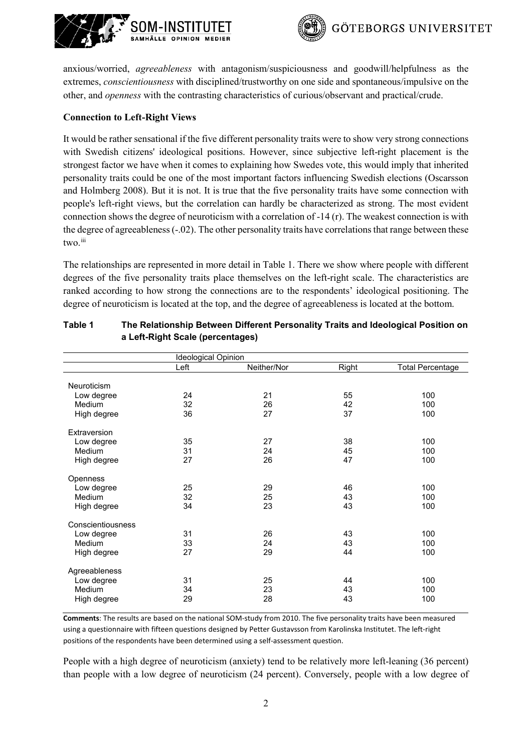



anxious/worried, *agreeableness* with antagonism/suspiciousness and goodwill/helpfulness as the extremes, *conscientiousness* with disciplined/trustworthy on one side and spontaneous/impulsive on the other, and *openness* with the contrasting characteristics of curious/observant and practical/crude.

#### **Connection to Left-Right Views**

It would be rather sensational if the five different personality traits were to show very strong connections with Swedish citizens' ideological positions. However, since subjective left-right placement is the strongest factor we have when it comes to explaining how Swedes vote, this would imply that inherited personality traits could be one of the most important factors influencing Swedish elections (Oscarsson and Holmberg 2008). But it is not. It is true that the five personality traits have some connection with people's left-right views, but the correlation can hardly be characterized as strong. The most evident connection shows the degree of neuroticism with a correlation of -14 (r). The weakest connection is with the degree of agreeableness (-.02). The other personality traits have correlations that range between these two.<sup>[iii](#page-6-2)</sup>

The relationships are represented in more detail in Table 1. There we show where people with different degrees of the five personality traits place themselves on the left-right scale. The characteristics are ranked according to how strong the connections are to the respondents' ideological positioning. The degree of neuroticism is located at the top, and the degree of agreeableness is located at the bottom.

|                   | Ideological Opinion |             |       |                         |
|-------------------|---------------------|-------------|-------|-------------------------|
|                   | Left                | Neither/Nor | Right | <b>Total Percentage</b> |
|                   |                     |             |       |                         |
| Neuroticism       |                     |             |       |                         |
| Low degree        | 24                  | 21          | 55    | 100                     |
| Medium            | 32                  | 26          | 42    | 100                     |
| High degree       | 36                  | 27          | 37    | 100                     |
| Extraversion      |                     |             |       |                         |
| Low degree        | 35                  | 27          | 38    | 100                     |
| Medium            | 31                  | 24          | 45    | 100                     |
| High degree       | 27                  | 26          | 47    | 100                     |
| Openness          |                     |             |       |                         |
| Low degree        | 25                  | 29          | 46    | 100                     |
| Medium            | 32                  | 25          | 43    | 100                     |
| High degree       | 34                  | 23          | 43    | 100                     |
| Conscientiousness |                     |             |       |                         |
| Low degree        | 31                  | 26          | 43    | 100                     |
| <b>Medium</b>     | 33                  | 24          | 43    | 100                     |
| High degree       | 27                  | 29          | 44    | 100                     |
| Agreeableness     |                     |             |       |                         |
| Low degree        | 31                  | 25          | 44    | 100                     |
| Medium            | 34                  | 23          | 43    | 100                     |
| High degree       | 29                  | 28          | 43    | 100                     |
|                   |                     |             |       |                         |

#### **Table 1 The Relationship Between Different Personality Traits and Ideological Position on a Left-Right Scale (percentages)**

**Comments**: The results are based on the national SOM-study from 2010. The five personality traits have been measured using a questionnaire with fifteen questions designed by Petter Gustavsson from Karolinska Institutet. The left-right positions of the respondents have been determined using a self-assessment question.

People with a high degree of neuroticism (anxiety) tend to be relatively more left-leaning (36 percent) than people with a low degree of neuroticism (24 percent). Conversely, people with a low degree of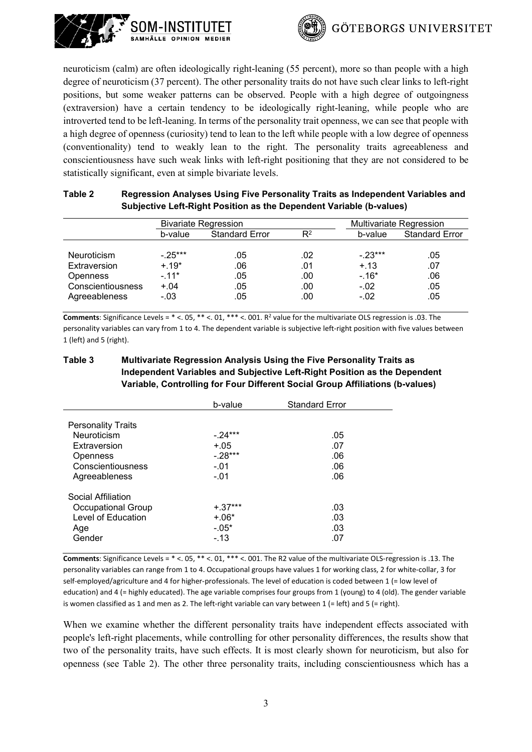



neuroticism (calm) are often ideologically right-leaning (55 percent), more so than people with a high degree of neuroticism (37 percent). The other personality traits do not have such clear links to left-right positions, but some weaker patterns can be observed. People with a high degree of outgoingness (extraversion) have a certain tendency to be ideologically right-leaning, while people who are introverted tend to be left-leaning. In terms of the personality trait openness, we can see that people with a high degree of openness (curiosity) tend to lean to the left while people with a low degree of openness (conventionality) tend to weakly lean to the right. The personality traits agreeableness and conscientiousness have such weak links with left-right positioning that they are not considered to be statistically significant, even at simple bivariate levels.

|                    |           | <b>Bivariate Regression</b> | Multivariate Regression |           |                       |
|--------------------|-----------|-----------------------------|-------------------------|-----------|-----------------------|
|                    | b-value   | <b>Standard Error</b>       | $R^2$                   | b-value   | <b>Standard Error</b> |
|                    |           |                             |                         |           |                       |
| <b>Neuroticism</b> | $-.25***$ | .05                         | .02                     | $-.23***$ | .05                   |
| Extraversion       | $+.19*$   | .06                         | .01                     | $+.13$    | .07                   |
| <b>Openness</b>    | $-.11*$   | .05                         | .00                     | $-16*$    | .06                   |
| Conscientiousness  | $+.04$    | .05                         | .00                     | $-.02$    | .05                   |
| Agreeableness      | $-.03$    | .05                         | .00                     | $-.02$    | .05                   |

#### **Table 2 Regression Analyses Using Five Personality Traits as Independent Variables and Subjective Left-Right Position as the Dependent Variable (b-values)**

**Comments**: Significance Levels = \* <. 05, \*\* <. 01, \*\*\* <. 001. R<sup>2</sup> value for the multivariate OLS regression is .03. The personality variables can vary from 1 to 4. The dependent variable is subjective left-right position with five values between 1 (left) and 5 (right).

#### **Table 3 Multivariate Regression Analysis Using the Five Personality Traits as Independent Variables and Subjective Left-Right Position as the Dependent Variable, Controlling for Four Different Social Group Affiliations (b-values)**

|                           | b-value   | <b>Standard Error</b> |
|---------------------------|-----------|-----------------------|
|                           |           |                       |
| <b>Personality Traits</b> |           |                       |
| Neuroticism               | $-.24***$ | .05                   |
| Extraversion              | $+.05$    | .07                   |
| <b>Openness</b>           | $-.28***$ | .06                   |
| Conscientiousness         | $-.01$    | .06                   |
| Agreeableness             | $-.01$    | .06                   |
| Social Affiliation        |           |                       |
| Occupational Group        | $+.37***$ | .03                   |
| Level of Education        | $+.06*$   | .03                   |
| Age                       | $-.05*$   | .03                   |
| Gender                    | $-.13$    | .07                   |

**Comments**: Significance Levels = \* <. 05, \*\* <. 01, \*\*\* <. 001. The R2 value of the multivariate OLS-regression is .13. The personality variables can range from 1 to 4. Occupational groups have values 1 for working class, 2 for white-collar, 3 for self-employed/agriculture and 4 for higher-professionals. The level of education is coded between 1 (= low level of education) and 4 (= highly educated). The age variable comprises four groups from 1 (young) to 4 (old). The gender variable is women classified as 1 and men as 2. The left-right variable can vary between 1 (= left) and 5 (= right).

When we examine whether the different personality traits have independent effects associated with people's left-right placements, while controlling for other personality differences, the results show that two of the personality traits, have such effects. It is most clearly shown for neuroticism, but also for openness (see Table 2). The other three personality traits, including conscientiousness which has a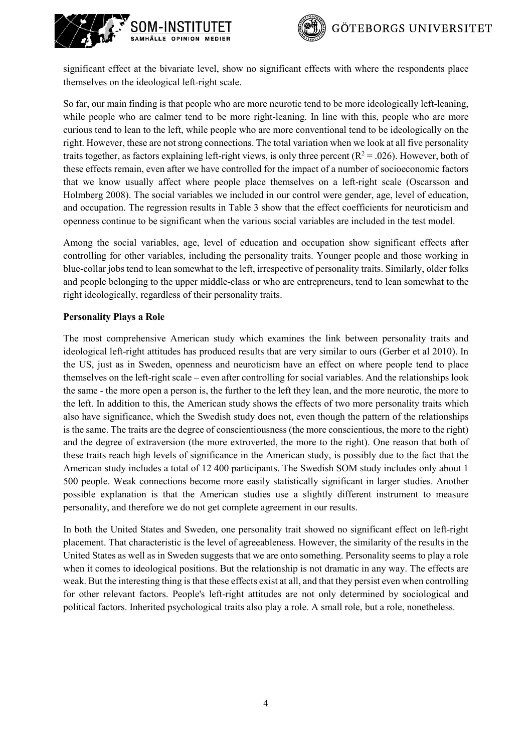



significant effect at the bivariate level, show no significant effects with where the respondents place themselves on the ideological left-right scale.

So far, our main finding is that people who are more neurotic tend to be more ideologically left-leaning, while people who are calmer tend to be more right-leaning. In line with this, people who are more curious tend to lean to the left, while people who are more conventional tend to be ideologically on the right. However, these are not strong connections. The total variation when we look at all five personality traits together, as factors explaining left-right views, is only three percent ( $R^2 = .026$ ). However, both of these effects remain, even after we have controlled for the impact of a number of socioeconomic factors that we know usually affect where people place themselves on a left-right scale (Oscarsson and Holmberg 2008). The social variables we included in our control were gender, age, level of education, and occupation. The regression results in Table 3 show that the effect coefficients for neuroticism and openness continue to be significant when the various social variables are included in the test model.

Among the social variables, age, level of education and occupation show significant effects after controlling for other variables, including the personality traits. Younger people and those working in blue-collar jobs tend to lean somewhat to the left, irrespective of personality traits. Similarly, older folks and people belonging to the upper middle-class or who are entrepreneurs, tend to lean somewhat to the right ideologically, regardless of their personality traits.

#### **Personality Plays a Role**

The most comprehensive American study which examines the link between personality traits and ideological left-right attitudes has produced results that are very similar to ours (Gerber et al 2010). In the US, just as in Sweden, openness and neuroticism have an effect on where people tend to place themselves on the left-right scale – even after controlling for social variables. And the relationships look the same - the more open a person is, the further to the left they lean, and the more neurotic, the more to the left. In addition to this, the American study shows the effects of two more personality traits which also have significance, which the Swedish study does not, even though the pattern of the relationships is the same. The traits are the degree of conscientiousness (the more conscientious, the more to the right) and the degree of extraversion (the more extroverted, the more to the right). One reason that both of these traits reach high levels of significance in the American study, is possibly due to the fact that the American study includes a total of 12 400 participants. The Swedish SOM study includes only about 1 500 people. Weak connections become more easily statistically significant in larger studies. Another possible explanation is that the American studies use a slightly different instrument to measure personality, and therefore we do not get complete agreement in our results.

In both the United States and Sweden, one personality trait showed no significant effect on left-right placement. That characteristic is the level of agreeableness. However, the similarity of the results in the United States as well as in Sweden suggests that we are onto something. Personality seems to play a role when it comes to ideological positions. But the relationship is not dramatic in any way. The effects are weak. But the interesting thing is that these effects exist at all, and that they persist even when controlling for other relevant factors. People's left-right attitudes are not only determined by sociological and political factors. Inherited psychological traits also play a role. A small role, but a role, nonetheless.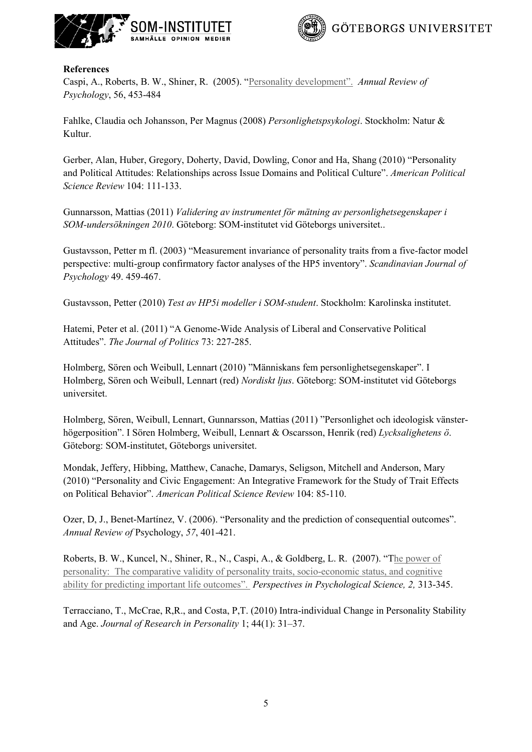



#### **References**

Caspi, A., Roberts, B. W., Shiner, R. (2005). ["Personality development".](http://internal.psychology.illinois.edu/%7Ebroberts/Caspi,%20Roberts,%20&%20Shiner,%202005.pdf) *Annual Review of Psychology*, 56, 453-484

Fahlke, Claudia och Johansson, Per Magnus (2008) *Personlighetspsykologi*. Stockholm: Natur & Kultur.

Gerber, Alan, Huber, Gregory, Doherty, David, Dowling, Conor and Ha, Shang (2010) "Personality and Political Attitudes: Relationships across Issue Domains and Political Culture". *American Political Science Review* 104: 111-133.

Gunnarsson, Mattias (2011) *Validering av instrumentet för mätning av personlighetsegenskaper i SOM-undersökningen 2010*. Göteborg: SOM-institutet vid Göteborgs universitet..

Gustavsson, Petter m fl. (2003) "Measurement invariance of personality traits from a five-factor model perspective: multi-group confirmatory factor analyses of the HP5 inventory". *Scandinavian Journal of Psychology* 49. 459-467.

Gustavsson, Petter (2010) *Test av HP5i modeller i SOM-student*. Stockholm: Karolinska institutet.

Hatemi, Peter et al. (2011) "A Genome-Wide Analysis of Liberal and Conservative Political Attitudes". *The Journal of Politics* 73: 227-285.

Holmberg, Sören och Weibull, Lennart (2010) "Människans fem personlighetsegenskaper". I Holmberg, Sören och Weibull, Lennart (red) *Nordiskt ljus*. Göteborg: SOM-institutet vid Göteborgs universitet.

Holmberg, Sören, Weibull, Lennart, Gunnarsson, Mattias (2011) "Personlighet och ideologisk vänsterhögerposition". I Sören Holmberg, Weibull, Lennart & Oscarsson, Henrik (red) *Lycksalighetens ö*. Göteborg: SOM-institutet, Göteborgs universitet.

Mondak, Jeffery, Hibbing, Matthew, Canache, Damarys, Seligson, Mitchell and Anderson, Mary (2010) "Personality and Civic Engagement: An Integrative Framework for the Study of Trait Effects on Political Behavior". *American Political Science Review* 104: 85-110.

Ozer, D, J., Benet-Martínez, V. (2006). "Personality and the prediction of consequential outcomes". *Annual Review of* Psychology, *57*, 401-421.

Roberts, B. W., Kuncel, N., Shiner, R., N., Caspi, A., & Goldberg, L. R. (2007). "[The power of](http://internal.psychology.illinois.edu/%7Ebroberts/Roberts%20et%20al,%202007%20PPS%20power%20of%20personality.pdf)  personality: [The comparative validity of personality traits, socio-economic status, and cognitive](http://internal.psychology.illinois.edu/%7Ebroberts/Roberts%20et%20al,%202007%20PPS%20power%20of%20personality.pdf)  [ability for predicting important life outcomes".](http://internal.psychology.illinois.edu/%7Ebroberts/Roberts%20et%20al,%202007%20PPS%20power%20of%20personality.pdf) *Perspectives in Psychological Science, 2,* 313-345.

Terracciano, T., McCrae, R,R., and Costa, P,T. (2010) Intra-individual Change in Personality Stability and Age. *Journal of Research in Personality* 1; 44(1): 31–37.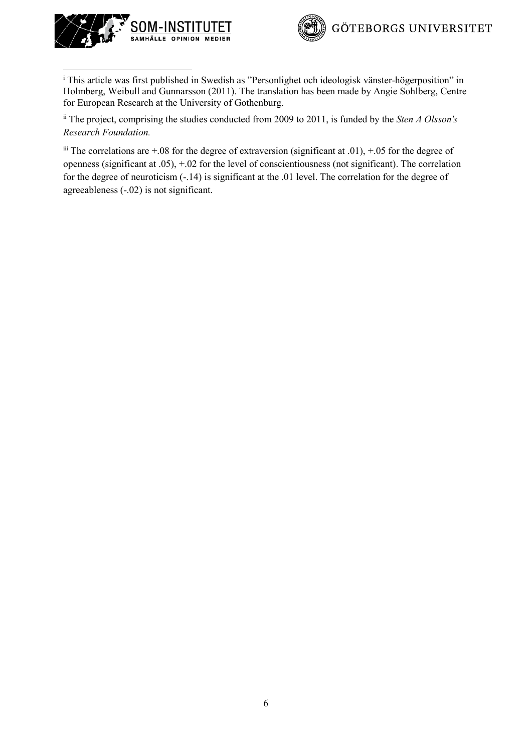



<span id="page-6-0"></span><sup>i</sup> This article was first published in Swedish as "Personlighet och ideologisk vänster-högerposition" in Holmberg, Weibull and Gunnarsson (2011). The translation has been made by Angie Sohlberg, Centre for European Research at the University of Gothenburg.  $\overline{a}$ 

<span id="page-6-1"></span>ii The project, comprising the studies conducted from 2009 to 2011, is funded by the *Sten A Olsson's Research Foundation.*

<span id="page-6-2"></span> $\ddot{\text{m}}$  The correlations are  $+.08$  for the degree of extraversion (significant at .01),  $+.05$  for the degree of openness (significant at .05), +.02 for the level of conscientiousness (not significant). The correlation for the degree of neuroticism (-.14) is significant at the .01 level. The correlation for the degree of agreeableness (-.02) is not significant.